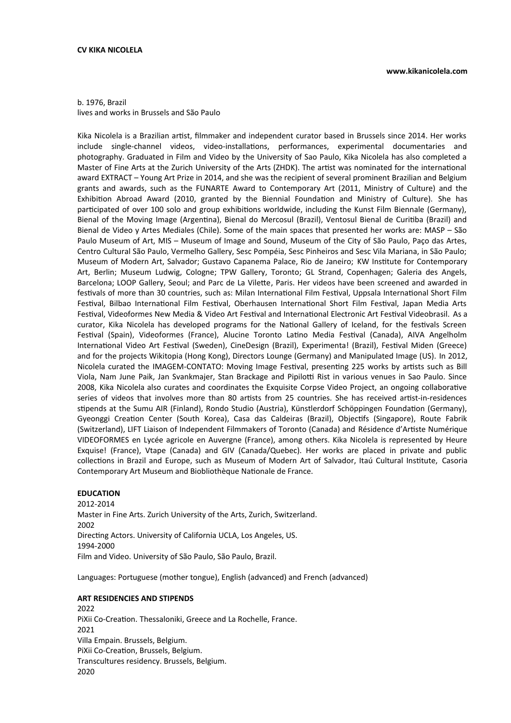#### b. 1976, Brazil lives and works in Brussels and São Paulo

Kika Nicolela is a Brazilian artist, filmmaker and independent curator based in Brussels since 2014. Her works include single-channel videos, video-installations, performances, experimental documentaries and photography. Graduated in Film and Video by the University of Sao Paulo, Kika Nicolela has also completed a Master of Fine Arts at the Zurich University of the Arts (ZHDK). The artist was nominated for the international award EXTRACT – Young Art Prize in 2014, and she was the recipient of several prominent Brazilian and Belgium grants and awards, such as the FUNARTE Award to Contemporary Art (2011, Ministry of Culture) and the Exhibition Abroad Award (2010, granted by the Biennial Foundation and Ministry of Culture). She has participated of over 100 solo and group exhibitions worldwide, including the Kunst Film Biennale (Germany), Bienal of the Moving Image (Argentina), Bienal do Mercosul (Brazil), Ventosul Bienal de Curitiba (Brazil) and Bienal de Video y Artes Mediales (Chile). Some of the main spaces that presented her works are: MASP – São Paulo Museum of Art, MIS – Museum of Image and Sound, Museum of the City of São Paulo, Paço das Artes, Centro Cultural São Paulo, Vermelho Gallery, Sesc Pompéia, Sesc Pinheiros and Sesc Vila Mariana, in São Paulo; Museum of Modern Art, Salvador; Gustavo Capanema Palace, Rio de Janeiro; KW Institute for Contemporary Art, Berlin; Museum Ludwig, Cologne; TPW Gallery, Toronto; GL Strand, Copenhagen; Galeria des Angels, Barcelona; LOOP Gallery, Seoul; and Parc de La Vilette, Paris. Her videos have been screened and awarded in festivals of more than 30 countries, such as: Milan International Film Festival, Uppsala International Short Film Festival, Bilbao International Film Festival, Oberhausen International Short Film Festival, Japan Media Arts Festival, Videoformes New Media & Video Art Festival and International Electronic Art Festival Videobrasil. As a curator, Kika Nicolela has developed programs for the National Gallery of Iceland, for the festivals Screen Festival (Spain), Videoformes (France), Alucine Toronto Latino Media Festival (Canada), AIVA Angelholm International Video Art Festival (Sweden), CineDesign (Brazil), Experimenta! (Brazil), Festival Miden (Greece) and for the projects Wikitopia (Hong Kong), Directors Lounge (Germany) and Manipulated Image (US). In 2012, Nicolela curated the IMAGEM-CONTATO: Moving Image Festival, presenting 225 works by artists such as Bill Viola, Nam June Paik, Jan Svankmajer, Stan Brackage and Pipilotti Rist in various venues in Sao Paulo. Since 2008, Kika Nicolela also curates and coordinates the Exquisite Corpse Video Project, an ongoing collaborative series of videos that involves more than 80 artists from 25 countries. She has received artist-in-residences stipends at the Sumu AIR (Finland), Rondo Studio (Austria), Künstlerdorf Schöppingen Foundation (Germany), Gyeonggi Creation Center (South Korea), Casa das Caldeiras (Brazil), Objectifs (Singapore), Route Fabrik (Switzerland), LIFT Liaison of Independent Filmmakers of Toronto (Canada) and Résidence d'Artiste Numérique VIDEOFORMES en Lycée agricole en Auvergne (France), among others. Kika Nicolela is represented by Heure Exquise! (France), Vtape (Canada) and GIV (Canada/Quebec). Her works are placed in private and public collections in Brazil and Europe, such as Museum of Modern Art of Salvador, Itaú Cultural Institute, Casoria Contemporary Art Museum and Biobliothèque Nationale de France.

### **EDUCATION**

2012-2014 Master in Fine Arts. Zurich University of the Arts, Zurich, Switzerland. 2002 Directing Actors. University of California UCLA, Los Angeles, US. 1994-2000 Film and Video. University of São Paulo, São Paulo, Brazil.

Languages: Portuguese (mother tongue), English (advanced) and French (advanced)

### **ART RESIDENCIES AND STIPENDS**

2022 PiXii Co-Creation. Thessaloniki, Greece and La Rochelle, France. 2021 Villa Empain. Brussels, Belgium. PiXii Co-Creation, Brussels, Belgium. Transcultures residency. Brussels, Belgium. 2020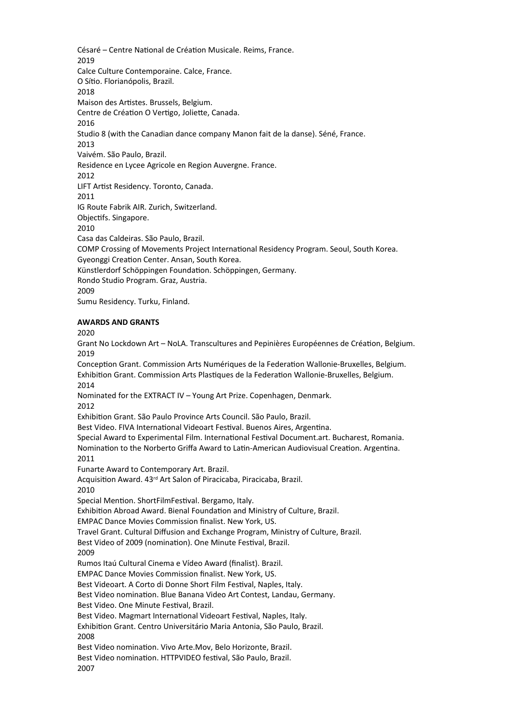Césaré – Centre National de Création Musicale. Reims, France. 2019 Calce Culture Contemporaine. Calce, France. O Sítio. Florianópolis, Brazil. 2018 Maison des Artistes. Brussels, Belgium. Centre de Création O Vertigo, Joliette, Canada. 2016 Studio 8 (with the Canadian dance company Manon fait de la danse). Séné, France. 2013 Vaivém. São Paulo, Brazil. Residence en Lycee Agricole en Region Auvergne. France. 2012 LIFT Artist Residency. Toronto, Canada. 2011 IG Route Fabrik AIR. Zurich, Switzerland. Objectifs. Singapore. 2010 Casa das Caldeiras. São Paulo, Brazil. COMP Crossing of Movements Project International Residency Program. Seoul, South Korea. Gyeonggi Creation Center. Ansan, South Korea. Künstlerdorf Schöppingen Foundation. Schöppingen, Germany. Rondo Studio Program. Graz, Austria. 2009 Sumu Residency. Turku, Finland.

### **AWARDS AND GRANTS**

2020

Grant No Lockdown Art – NoLA. Transcultures and Pepinières Européennes de Création, Belgium. 2019

Conception Grant. Commission Arts Numériques de la Federation Wallonie-Bruxelles, Belgium. Exhibition Grant. Commission Arts Plastiques de la Federation Wallonie-Bruxelles, Belgium. 2014

Nominated for the EXTRACT IV – Young Art Prize. Copenhagen, Denmark. 2012

Exhibition Grant. São Paulo Province Arts Council. São Paulo, Brazil.

Best Video. FIVA International Videoart Festival. Buenos Aires, Argentina.

Special Award to Experimental Film. International Festival Document.art. Bucharest, Romania. Nomination to the Norberto Griffa Award to Latin-American Audiovisual Creation. Argentina. 2011

Funarte Award to Contemporary Art. Brazil.

Acquisition Award. 43rd Art Salon of Piracicaba, Piracicaba, Brazil.

2010

Special Mention. ShortFilmFestival. Bergamo, Italy.

Exhibition Abroad Award. Bienal Foundation and Ministry of Culture, Brazil.

EMPAC Dance Movies Commission finalist. New York, US.

Travel Grant. Cultural Diffusion and Exchange Program, Ministry of Culture, Brazil.

Best Video of 2009 (nomination). One Minute Festival, Brazil.

2009

Rumos Itaú Cultural Cinema e Vídeo Award (finalist). Brazil.

EMPAC Dance Movies Commission finalist. New York, US.

Best Videoart. A Corto di Donne Short Film Festival, Naples, Italy.

Best Video nomination. Blue Banana Video Art Contest, Landau, Germany.

Best Video. One Minute Festival, Brazil.

Best Video. Magmart International Videoart Festival, Naples, Italy.

Exhibition Grant. Centro Universitário Maria Antonia, São Paulo, Brazil. 2008

Best Video nomination. Vivo Arte.Mov, Belo Horizonte, Brazil.

Best Video nomination. HTTPVIDEO festival, São Paulo, Brazil. 2007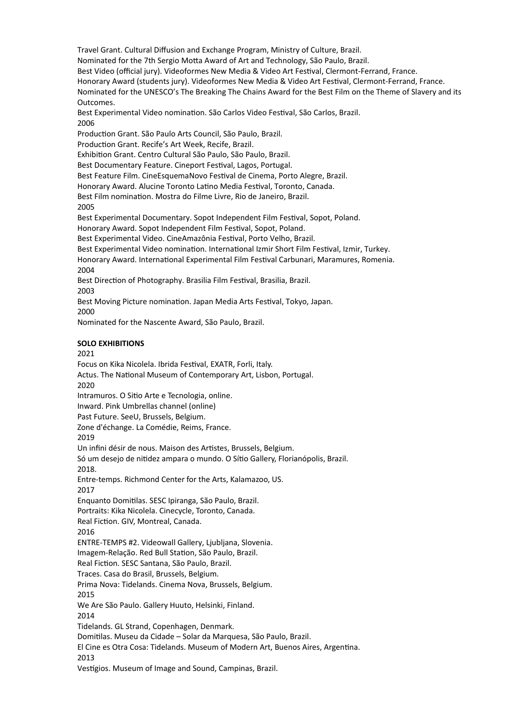Travel Grant. Cultural Diffusion and Exchange Program, Ministry of Culture, Brazil.

Nominated for the 7th Sergio Motta Award of Art and Technology, São Paulo, Brazil.

Best Video (official jury). Videoformes New Media & Video Art Festival, Clermont-Ferrand, France.

Honorary Award (students jury). Videoformes New Media & Video Art Festival, Clermont-Ferrand, France.

Nominated for the UNESCO's The Breaking The Chains Award for the Best Film on the Theme of Slavery and its Outcomes.

Best Experimental Video nomination. São Carlos Video Festival, São Carlos, Brazil. 2006

Production Grant. São Paulo Arts Council, São Paulo, Brazil.

Production Grant. Recife's Art Week, Recife, Brazil.

Exhibition Grant. Centro Cultural São Paulo, São Paulo, Brazil.

Best Documentary Feature. Cineport Festival, Lagos, Portugal.

Best Feature Film. CineEsquemaNovo Festival de Cinema, Porto Alegre, Brazil.

Honorary Award. Alucine Toronto Latino Media Festival, Toronto, Canada.

Best Film nomination. Mostra do Filme Livre, Rio de Janeiro, Brazil.

2005

Best Experimental Documentary. Sopot Independent Film Festival, Sopot, Poland.

Honorary Award. Sopot Independent Film Festival, Sopot, Poland.

Best Experimental Video. CineAmazônia Festival, Porto Velho, Brazil.

Best Experimental Video nomination. International Izmir Short Film Festival, Izmir, Turkey.

Honorary Award. International Experimental Film Festival Carbunari, Maramures, Romenia.  $2004$ 

Best Direction of Photography. Brasilia Film Festival, Brasilia, Brazil. 2003

Best Moving Picture nomination. Japan Media Arts Festival, Tokyo, Japan. 2000

Nominated for the Nascente Award, São Paulo, Brazil.

# **SOLO EXHIBITIONS**

## 2021

Focus on Kika Nicolela. Ibrida Festival, EXATR, Forli, Italy. Actus. The National Museum of Contemporary Art, Lisbon, Portugal. 2020 Intramuros. O Sitio Arte e Tecnologia, online. Inward. Pink Umbrellas channel (online) Past Future. SeeU, Brussels, Belgium. Zone d'échange. La Comédie, Reims, France. 2019 Un infini désir de nous. Maison des Artistes, Brussels, Belgium. Só um desejo de nitidez ampara o mundo. O Sítio Gallery, Florianópolis, Brazil. 2018. Entre-temps. Richmond Center for the Arts, Kalamazoo, US. 2017 Enquanto Domitilas. SESC Ipiranga, São Paulo, Brazil. Portraits: Kika Nicolela. Cinecycle, Toronto, Canada. Real Fiction. GIV, Montreal, Canada. 2016 ENTRE-TEMPS #2. Videowall Gallery, Ljubljana, Slovenia. Imagem-Relação. Red Bull Station, São Paulo, Brazil. Real Fiction. SESC Santana, São Paulo, Brazil. Traces. Casa do Brasil, Brussels, Belgium. Prima Nova: Tidelands. Cinema Nova, Brussels, Belgium. 2015 We Are São Paulo. Gallery Huuto, Helsinki, Finland. 2014 Tidelands. GL Strand, Copenhagen, Denmark. Domitilas. Museu da Cidade – Solar da Marquesa, São Paulo, Brazil. El Cine es Otra Cosa: Tidelands. Museum of Modern Art, Buenos Aires, Argentina. 2013 Vestígios. Museum of Image and Sound, Campinas, Brazil.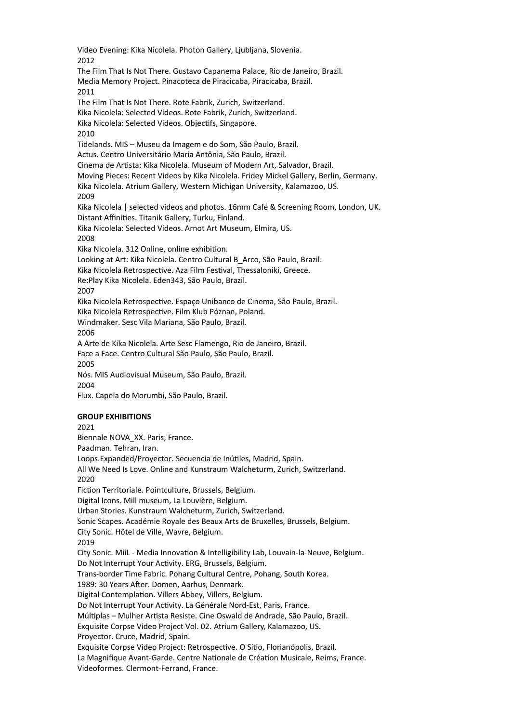Video Evening: Kika Nicolela. Photon Gallery, Ljubljana, Slovenia. 2012 The Film That Is Not There. Gustavo Capanema Palace, Rio de Janeiro, Brazil. Media Memory Project. Pinacoteca de Piracicaba, Piracicaba, Brazil. 2011 The Film That Is Not There. Rote Fabrik, Zurich, Switzerland. Kika Nicolela: Selected Videos. Rote Fabrik, Zurich, Switzerland. Kika Nicolela: Selected Videos. Objectifs, Singapore. 2010 Tidelands. MIS – Museu da Imagem e do Som, São Paulo, Brazil. Actus. Centro Universitário Maria Antônia, São Paulo, Brazil. Cinema de Artista: Kika Nicolela. Museum of Modern Art, Salvador, Brazil. Moving Pieces: Recent Videos by Kika Nicolela. Fridey Mickel Gallery, Berlin, Germany. Kika Nicolela. Atrium Gallery, Western Michigan University, Kalamazoo, US. 2009 Kika Nicolela | selected videos and photos. 16mm Café & Screening Room, London, UK. Distant Affinities. Titanik Gallery, Turku, Finland. Kika Nicolela: Selected Videos. Arnot Art Museum, Elmira, US. 2008 Kika Nicolela. 312 Online, online exhibition. Looking at Art: Kika Nicolela. Centro Cultural B\_Arco, São Paulo, Brazil. Kika Nicolela Retrospective. Aza Film Festival, Thessaloniki, Greece. Re:Play Kika Nicolela. Eden343, São Paulo, Brazil. 2007 Kika Nicolela Retrospective. Espaço Unibanco de Cinema, São Paulo, Brazil. Kika Nicolela Retrospective. Film Klub Póznan, Poland. Windmaker. Sesc Vila Mariana, São Paulo, Brazil. 2006 A Arte de Kika Nicolela. Arte Sesc Flamengo, Rio de Janeiro, Brazil. Face a Face. Centro Cultural São Paulo, São Paulo, Brazil. 2005 Nós. MIS Audiovisual Museum, São Paulo, Brazil. 2004 Flux. Capela do Morumbi, São Paulo, Brazil. **GROUP EXHIBITIONS** 2021 Biennale NOVA\_XX. Paris, France. Paadman. Tehran, Iran. Loops.Expanded/Proyector. Secuencia de Inútiles, Madrid, Spain. All We Need Is Love. Online and Kunstraum Walcheturm, Zurich, Switzerland. 2020 Fiction Territoriale. Pointculture, Brussels, Belgium. Digital Icons. Mill museum, La Louvière, Belgium. Urban Stories. Kunstraum Walcheturm, Zurich, Switzerland. Sonic Scapes. Académie Royale des Beaux Arts de Bruxelles, Brussels, Belgium. City Sonic. Hôtel de Ville, Wavre, Belgium. 2019

City Sonic. MiiL - Media Innovation & Intelligibility Lab, Louvain-la-Neuve, Belgium. Do Not Interrupt Your Activity. ERG, Brussels, Belgium.

Trans-border Time Fabric. Pohang Cultural Centre, Pohang, South Korea.

1989: 30 Years After. Domen, Aarhus, Denmark.

Digital Contemplation. Villers Abbey, Villers, Belgium.

Do Not Interrupt Your Activity. La Générale Nord-Est, Paris, France.

Múltiplas – Mulher Artista Resiste. Cine Oswald de Andrade, São Paulo, Brazil.

Exquisite Corpse Video Project Vol. 02. Atrium Gallery, Kalamazoo, US.

Proyector. Cruce, Madrid, Spain.

Exquisite Corpse Video Project: Retrospective. O Sítio, Florianópolis, Brazil.

La Magnifique Avant-Garde. Centre Nationale de Création Musicale, Reims, France. Videoformes. Clermont-Ferrand, France.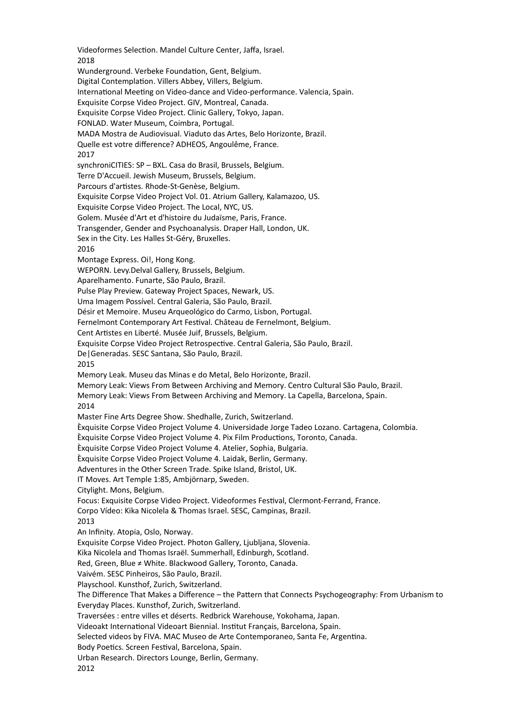Videoformes Selection. Mandel Culture Center, Jaffa, Israel. 2018 Wunderground. Verbeke Foundation, Gent, Belgium. Digital Contemplation. Villers Abbey, Villers, Belgium. International Meeting on Video-dance and Video-performance. Valencia, Spain. Exquisite Corpse Video Project. GIV, Montreal, Canada. Exquisite Corpse Video Project. Clinic Gallery, Tokyo, Japan. FONLAD. Water Museum, Coimbra, Portugal. MADA Mostra de Audiovisual. Viaduto das Artes, Belo Horizonte, Brazil. Quelle est votre difference? ADHEOS, Angoulême, France. 2017 synchroniCITIES: SP – BXL. Casa do Brasil, Brussels, Belgium. Terre D'Accueil. Jewish Museum, Brussels, Belgium. Parcours d'artistes. Rhode-St-Genèse, Belgium. Exquisite Corpse Video Project Vol. 01. Atrium Gallery, Kalamazoo, US. Exquisite Corpse Video Project. The Local, NYC, US. Golem. Musée d'Art et d'histoire du Judaïsme, Paris, France. Transgender, Gender and Psychoanalysis. Draper Hall, London, UK. Sex in the City. Les Halles St-Géry, Bruxelles. 2016 Montage Express. Oi!, Hong Kong. WEPORN. Levy.Delval Gallery, Brussels, Belgium. Aparelhamento. Funarte, São Paulo, Brazil. Pulse Play Preview. Gateway Project Spaces, Newark, US. Uma Imagem Possível. Central Galeria, São Paulo, Brazil. Désir et Memoire. Museu Arqueológico do Carmo, Lisbon, Portugal. Fernelmont Contemporary Art Festival. Château de Fernelmont, Belgium. Cent Artistes en Liberté. Musée Juif, Brussels, Belgium. Exquisite Corpse Video Project Retrospective. Central Galeria, São Paulo, Brazil. De|Generadas. SESC Santana, São Paulo, Brazil. 2015 Memory Leak. Museu das Minas e do Metal, Belo Horizonte, Brazil. Memory Leak: Views From Between Archiving and Memory. Centro Cultural São Paulo, Brazil. Memory Leak: Views From Between Archiving and Memory. La Capella, Barcelona, Spain. 2014 Master Fine Arts Degree Show. Shedhalle, Zurich, Switzerland. Èxquisite Corpse Video Project Volume 4. Universidade Jorge Tadeo Lozano. Cartagena, Colombia. Èxquisite Corpse Video Project Volume 4. Pix Film Productions, Toronto, Canada. Èxquisite Corpse Video Project Volume 4. Atelier, Sophia, Bulgaria. Èxquisite Corpse Video Project Volume 4. Laidak, Berlin, Germany. Adventures in the Other Screen Trade. Spike Island, Bristol, UK. IT Moves. Art Temple 1:85, Ambjörnarp, Sweden. Citylight. Mons, Belgium. Focus: Exquisite Corpse Video Project. Videoformes Festival, Clermont-Ferrand, France. Corpo Vídeo: Kika Nicolela & Thomas Israel. SESC, Campinas, Brazil. 2013 An Infinity. Atopia, Oslo, Norway. Exquisite Corpse Video Project. Photon Gallery, Ljubljana, Slovenia. Kika Nicolela and Thomas Israël. Summerhall, Edinburgh, Scotland. Red, Green, Blue ≠ White. Blackwood Gallery, Toronto, Canada. Vaivém. SESC Pinheiros, São Paulo, Brazil. Playschool. Kunsthof, Zurich, Switzerland. The Difference That Makes a Difference – the Pattern that Connects Psychogeography: From Urbanism to Everyday Places. Kunsthof, Zurich, Switzerland. Traversées : entre villes et déserts. Redbrick Warehouse, Yokohama, Japan. Videoakt International Videoart Biennial. Institut Français, Barcelona, Spain. Selected videos by FIVA. MAC Museo de Arte Contemporaneo, Santa Fe, Argentina. Body Poetics. Screen Festival, Barcelona, Spain. Urban Research. Directors Lounge, Berlin, Germany. 2012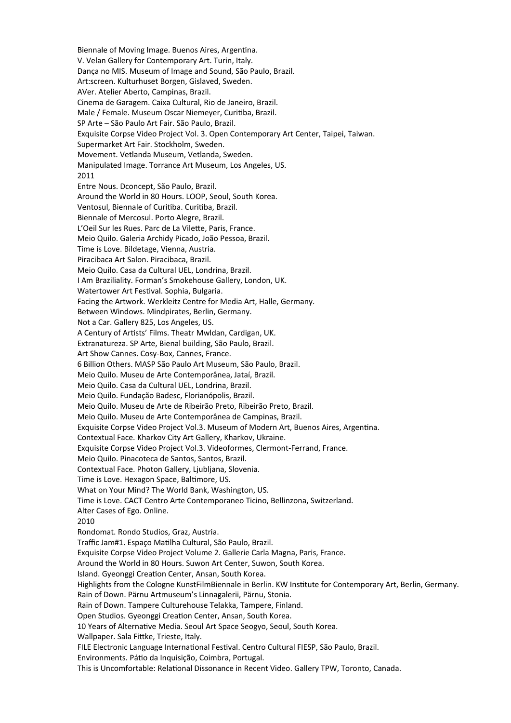Biennale of Moving Image. Buenos Aires, Argentina. V. Velan Gallery for Contemporary Art. Turin, Italy. Dança no MIS. Museum of Image and Sound, São Paulo, Brazil. Art:screen. Kulturhuset Borgen, Gislaved, Sweden. AVer. Atelier Aberto, Campinas, Brazil. Cinema de Garagem. Caixa Cultural, Rio de Janeiro, Brazil. Male / Female. Museum Oscar Niemeyer, Curitiba, Brazil. SP Arte – São Paulo Art Fair. São Paulo, Brazil. Exquisite Corpse Video Project Vol. 3. Open Contemporary Art Center, Taipei, Taiwan. Supermarket Art Fair. Stockholm, Sweden. Movement. Vetlanda Museum, Vetlanda, Sweden. Manipulated Image. Torrance Art Museum, Los Angeles, US. 2011 Entre Nous. Dconcept, São Paulo, Brazil. Around the World in 80 Hours. LOOP, Seoul, South Korea. Ventosul, Biennale of Curitiba. Curitiba, Brazil. Biennale of Mercosul. Porto Alegre, Brazil. L'Oeil Sur les Rues. Parc de La Vilette, Paris, France. Meio Quilo. Galeria Archidy Picado, João Pessoa, Brazil. Time is Love. Bildetage, Vienna, Austria. Piracibaca Art Salon. Piracibaca, Brazil. Meio Quilo. Casa da Cultural UEL, Londrina, Brazil. I Am Braziliality. Forman's Smokehouse Gallery, London, UK. Watertower Art Festival. Sophia, Bulgaria. Facing the Artwork. Werkleitz Centre for Media Art, Halle, Germany. Between Windows. Mindpirates, Berlin, Germany. Not a Car. Gallery 825, Los Angeles, US. A Century of Artists' Films. Theatr Mwldan, Cardigan, UK. Extranatureza. SP Arte, Bienal building, São Paulo, Brazil. Art Show Cannes. Cosy-Box, Cannes, France. 6 Billion Others. MASP São Paulo Art Museum, São Paulo, Brazil. Meio Quilo. Museu de Arte Contemporânea, Jataí, Brazil. Meio Quilo. Casa da Cultural UEL, Londrina, Brazil. Meio Quilo. Fundação Badesc, Florianópolis, Brazil. Meio Quilo. Museu de Arte de Ribeirão Preto, Ribeirão Preto, Brazil. Meio Quilo. Museu de Arte Contemporânea de Campinas, Brazil. Exquisite Corpse Video Project Vol.3. Museum of Modern Art, Buenos Aires, Argentina. Contextual Face. Kharkov City Art Gallery, Kharkov, Ukraine. Exquisite Corpse Video Project Vol.3. Videoformes, Clermont-Ferrand, France. Meio Quilo. Pinacoteca de Santos, Santos, Brazil. Contextual Face. Photon Gallery, Ljubljana, Slovenia. Time is Love. Hexagon Space, Baltimore, US. What on Your Mind? The World Bank, Washington, US. Time is Love. CACT Centro Arte Contemporaneo Ticino, Bellinzona, Switzerland. Alter Cases of Ego. Online. 2010 Rondomat. Rondo Studios, Graz, Austria. Traffic Jam#1. Espaço Matilha Cultural, São Paulo, Brazil. Exquisite Corpse Video Project Volume 2. Gallerie Carla Magna, Paris, France. Around the World in 80 Hours. Suwon Art Center, Suwon, South Korea. Island. Gyeonggi Creation Center, Ansan, South Korea. Highlights from the Cologne KunstFilmBiennale in Berlin. KW Institute for Contemporary Art, Berlin, Germany. Rain of Down. Pärnu Artmuseum's Linnagalerii, Pärnu, Stonia. Rain of Down. Tampere Culturehouse Telakka, Tampere, Finland. Open Studios. Gyeonggi Creation Center, Ansan, South Korea. 10 Years of Alternative Media. Seoul Art Space Seogyo, Seoul, South Korea. Wallpaper. Sala Fittke, Trieste, Italy. FILE Electronic Language International Festival. Centro Cultural FIESP, São Paulo, Brazil. Environments. Pátio da Inquisição, Coimbra, Portugal. This is Uncomfortable: Relational Dissonance in Recent Video. Gallery TPW, Toronto, Canada.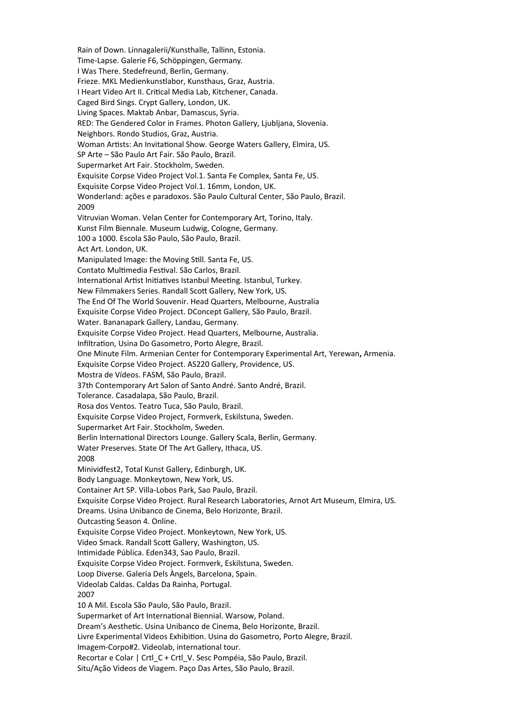Rain of Down. Linnagalerii/Kunsthalle, Tallinn, Estonia. Time-Lapse. Galerie F6, Schöppingen, Germany. I Was There. Stedefreund, Berlin, Germany. Frieze. MKL Medienkunstlabor, Kunsthaus, Graz, Austria. I Heart Video Art II. Critical Media Lab, Kitchener, Canada. Caged Bird Sings. Crypt Gallery, London, UK. Living Spaces. Maktab Anbar, Damascus, Syria. RED: The Gendered Color in Frames. Photon Gallery, Ljubljana, Slovenia. Neighbors. Rondo Studios, Graz, Austria. Woman Artists: An Invitational Show. George Waters Gallery, Elmira, US. SP Arte – São Paulo Art Fair. São Paulo, Brazil. Supermarket Art Fair. Stockholm, Sweden. Exquisite Corpse Video Project Vol.1. Santa Fe Complex, Santa Fe, US. Exquisite Corpse Video Project Vol.1. 16mm, London, UK. Wonderland: ações e paradoxos. São Paulo Cultural Center, São Paulo, Brazil. 2009 Vitruvian Woman. Velan Center for Contemporary Art, Torino, Italy. Kunst Film Biennale. Museum Ludwig, Cologne, Germany. 100 a 1000. Escola São Paulo, São Paulo, Brazil. Act Art. London, UK. Manipulated Image: the Moving Still. Santa Fe, US. Contato Multimedia Festival. São Carlos, Brazil. International Artist Initiatives Istanbul Meeting. Istanbul, Turkey. New Filmmakers Series. Randall Scott Gallery, New York, US. The End Of The World Souvenir. Head Quarters, Melbourne, Australia Exquisite Corpse Video Project. DConcept Gallery, São Paulo, Brazil. Water. Bananapark Gallery, Landau, Germany. Exquisite Corpse Video Project. Head Quarters, Melbourne, Australia. Infiltration, Usina Do Gasometro, Porto Alegre, Brazil. One Minute Film. Armenian Center for Contemporary Experimental Art, Yerewan**,** Armenia. Exquisite Corpse Video Project. AS220 Gallery, Providence, US. Mostra de Vídeos. FASM, São Paulo, Brazil. 37th Contemporary Art Salon of Santo André. Santo André, Brazil. Tolerance. Casadalapa, São Paulo, Brazil. Rosa dos Ventos. Teatro Tuca, São Paulo, Brazil. Exquisite Corpse Video Project, Formverk, Eskilstuna, Sweden. Supermarket Art Fair. Stockholm, Sweden. Berlin International Directors Lounge. Gallery Scala, Berlin, Germany. Water Preserves. State Of The Art Gallery, Ithaca, US. 2008 Minividfest2, Total Kunst Gallery, Edinburgh, UK. Body Language. Monkeytown, New York, US. Container Art SP. Villa-Lobos Park, Sao Paulo, Brazil. Exquisite Corpse Video Project. Rural Research Laboratories, Arnot Art Museum, Elmira, US. Dreams. Usina Unibanco de Cinema, Belo Horizonte, Brazil. Outcasting Season 4. Online. Exquisite Corpse Video Project. Monkeytown, New York, US. Video Smack. Randall Scott Gallery, Washington, US. Intimidade Pública. Eden343, Sao Paulo, Brazil. Exquisite Corpse Video Project. Formverk, Eskilstuna, Sweden. Loop Diverse. Galeria Dels Àngels, Barcelona, Spain. Videolab Caldas. Caldas Da Rainha, Portugal. 2007 10 A Mil. Escola São Paulo, São Paulo, Brazil. Supermarket of Art International Biennial. Warsow, Poland. Dream's Aesthetic. Usina Unibanco de Cinema, Belo Horizonte, Brazil. Livre Experimental Videos Exhibition. Usina do Gasometro, Porto Alegre, Brazil. Imagem-Corpo#2. Videolab, international tour. Recortar e Colar | Crtl C + Crtl V. Sesc Pompéia, São Paulo, Brazil. Situ/Ação Videos de Viagem. Paço Das Artes, São Paulo, Brazil.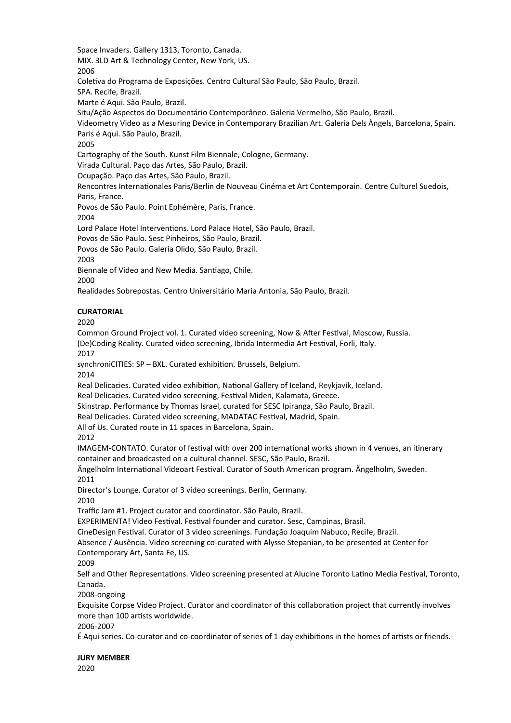Space Invaders. Gallery 1313, Toronto, Canada. MIX. 3LD Art & Technology Center, New York, US. 2006 Coletiva do Programa de Exposições. Centro Cultural São Paulo, São Paulo, Brazil. SPA. Recife, Brazil. Marte é Aqui. São Paulo, Brazil. Situ/Ação Aspectos do Documentário Contemporâneo. Galeria Vermelho, São Paulo, Brazil. Videometry Video as a Mesuring Device in Contemporary Brazilian Art. Galeria Dels Àngels, Barcelona, Spain. Paris é Aqui. São Paulo, Brazil. 2005 Cartography of the South. Kunst Film Biennale, Cologne, Germany. Virada Cultural. Paço das Artes, São Paulo, Brazil. Ocupação. Paço das Artes, São Paulo, Brazil. Rencontres Internationales Paris/Berlin de Nouveau Cinéma et Art Contemporain. Centre Culturel Suedois, Paris, France.

Povos de São Paulo. Point Ephémère, Paris, France.

2004

Lord Palace Hotel Interventions. Lord Palace Hotel, São Paulo, Brazil.

Povos de São Paulo. Sesc Pinheiros, São Paulo, Brazil.

Povos de São Paulo. Galeria Olido, São Paulo, Brazil.

2003

Biennale of Video and New Media. Santiago, Chile.

2000

Realidades Sobrepostas. Centro Universitário Maria Antonia, São Paulo, Brazil.

# **CURATORIAL**

2020

Common Ground Project vol. 1. Curated video screening, Now & After Festival, Moscow, Russia. (De)Coding Reality. Curated video screening, Ibrida Intermedia Art Festival, Forli, Italy.

2017

synchroniCITIES: SP – BXL. Curated exhibition. Brussels, Belgium.

2014

Real Delicacies. Curated video exhibition, National Gallery of Iceland, Reykjavík, Iceland. Real Delicacies. Curated video screening, Festival Miden, Kalamata, Greece.

Skinstrap. Performance by Thomas Israel, curated for SESC Ipiranga, São Paulo, Brazil.

Real Delicacies. Curated video screening, MADATAC Festival, Madrid, Spain.

All of Us. Curated route in 11 spaces in Barcelona, Spain.

2012

IMAGEM-CONTATO. Curator of festival with over 200 international works shown in 4 venues, an itinerary container and broadcasted on a cultural channel. SESC, São Paulo, Brazil.

Ängelholm International Videoart Festival. Curator of South American program. Ängelholm, Sweden. 2011

Director's Lounge. Curator of 3 video screenings. Berlin, Germany. 2010

Traffic Jam #1. Project curator and coordinator. São Paulo, Brazil.

EXPERIMENTA! Video Festival. Festival founder and curator. Sesc, Campinas, Brasil.

CineDesign Festival. Curator of 3 video screenings. Fundação Joaquim Nabuco, Recife, Brazil.

Absence / Ausência. Video screening co-curated with Alysse Stepanian, to be presented at Center for Contemporary Art, Santa Fe, US.

2009

Self and Other Representations. Video screening presented at Alucine Toronto Latino Media Festival, Toronto, Canada.

2008-ongoing

Exquisite Corpse Video Project. Curator and coordinator of this collaboration project that currently involves more than 100 artists worldwide.

2006-2007

É Aqui series. Co-curator and co-coordinator of series of 1-day exhibitions in the homes of artists or friends.

**JURY MEMBER** 2020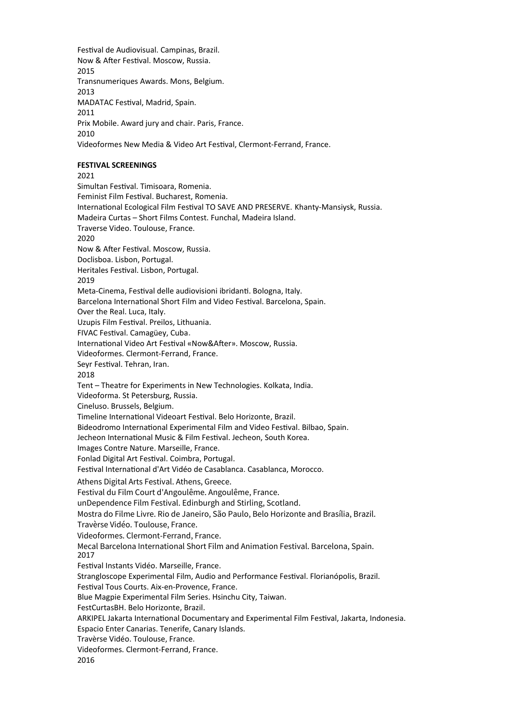Festival de Audiovisual. Campinas, Brazil. Now & After Festival. Moscow, Russia. 2015 Transnumeriques Awards. Mons, Belgium. 2013 MADATAC Festival, Madrid, Spain. 2011 Prix Mobile. Award jury and chair. Paris, France. 2010 Videoformes New Media & Video Art Festival, Clermont-Ferrand, France.

# **FESTIVAL SCREENINGS**

2021 Simultan Festival. Timisoara, Romenia. Feminist Film Festival. Bucharest, Romenia. International Ecological Film Festival TO SAVE AND PRESERVE. Khanty-Mansiysk, Russia. Madeira Curtas – Short Films Contest. Funchal, Madeira Island. Traverse Video. Toulouse, France. 2020 Now & After Festival. Moscow, Russia. Doclisboa. Lisbon, Portugal. Heritales Festival. Lisbon, Portugal. 2019 Meta-Cinema, Festival delle audiovisioni ibridanti. Bologna, Italy. Barcelona International Short Film and Video Festival. Barcelona, Spain. Over the Real. Luca, Italy. Uzupis Film Festival. Preilos, Lithuania. FIVAC Festival. Camagüey, Cuba**.** International Video Art Festival «Now&After». Moscow, Russia. Videoformes. Clermont-Ferrand, France. Seyr Festival. Tehran, Iran. 2018 Tent – Theatre for Experiments in New Technologies. Kolkata, India. Videoforma. St Petersburg, Russia. Cineluso. Brussels, Belgium. Timeline International Videoart Festival. Belo Horizonte, Brazil. Bideodromo International Experimental Film and Video Festival. Bilbao, Spain. Jecheon International Music & Film Festival. Jecheon, South Korea. Images Contre Nature. Marseille, France. Fonlad Digital Art Festival. Coimbra, Portugal. Festival International d'Art Vidéo de Casablanca. Casablanca, Morocco. Athens Digital Arts Festival. Athens, Greece. Festival du Film Court d'Angoulême. Angoulême, France. unDependence Film Festival. Edinburgh and Stirling, Scotland. Mostra do Filme Livre. Rio de Janeiro, São Paulo, Belo Horizonte and Brasília, Brazil. Travèrse Vidéo. Toulouse, France. Videoformes. Clermont-Ferrand, France. Mecal Barcelona International Short Film and Animation Festival. Barcelona, Spain. 2017 Festival Instants Vidéo. Marseille, France. Strangloscope Experimental Film, Audio and Performance Festival. Florianópolis, Brazil. Festival Tous Courts. Aix-en-Provence, France. Blue Magpie Experimental Film Series. Hsinchu City, Taiwan. FestCurtasBH. Belo Horizonte, Brazil. ARKIPEL Jakarta International Documentary and Experimental Film Festival, Jakarta, Indonesia. Espacio Enter Canarias. Tenerife, Canary Islands. Travèrse Vidéo. Toulouse, France. Videoformes. Clermont-Ferrand, France. 2016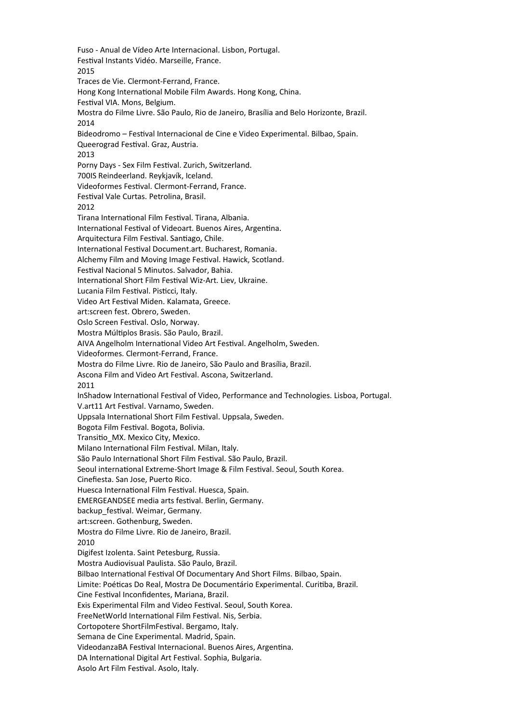Fuso - Anual de Vídeo Arte Internacional. Lisbon, Portugal. Festival Instants Vidéo. Marseille, France. 2015 Traces de Vie. Clermont-Ferrand, France. Hong Kong International Mobile Film Awards. Hong Kong, China. Festival VIA. Mons, Belgium. Mostra do Filme Livre. São Paulo, Rio de Janeiro, Brasília and Belo Horizonte, Brazil. 2014 Bideodromo – Festival Internacional de Cine e Video Experimental. Bilbao, Spain. Queerograd Festival. Graz, Austria. 2013 Porny Days - Sex Film Festival. Zurich, Switzerland. 700IS Reindeerland. Reykjavík, Iceland. Videoformes Festival. Clermont-Ferrand, France. Festival Vale Curtas. Petrolina, Brasil. 2012 Tirana International Film Festival. Tirana, Albania. International Festival of Videoart. Buenos Aires, Argentina. Arquitectura Film Festival. Santiago, Chile. International Festival Document.art. Bucharest, Romania. Alchemy Film and Moving Image Festival. Hawick, Scotland. Festival Nacional 5 Minutos. Salvador, Bahia. International Short Film Festival Wiz-Art. Liev, Ukraine. Lucania Film Festival. Pisticci, Italy. Video Art Festival Miden. Kalamata, Greece. art:screen fest. Obrero, Sweden. Oslo Screen Festival. Oslo, Norway. Mostra Múltiplos Brasis. São Paulo, Brazil. AIVA Angelholm International Video Art Festival. Angelholm, Sweden. Videoformes. Clermont-Ferrand, France. Mostra do Filme Livre. Rio de Janeiro, São Paulo and Brasília, Brazil. Ascona Film and Video Art Festival. Ascona, Switzerland. 2011 InShadow International Festival of Video, Performance and Technologies. Lisboa, Portugal. V.art11 Art Festival. Varnamo, Sweden. Uppsala International Short Film Festival. Uppsala, Sweden. Bogota Film Festival. Bogota, Bolivia. Transitio\_MX. Mexico City, Mexico. Milano International Film Festival. Milan, Italy. São Paulo International Short Film Festival. São Paulo, Brazil. Seoul international Extreme-Short Image & Film Festival. Seoul, South Korea. Cinefiesta. San Jose, Puerto Rico. Huesca International Film Festival. Huesca, Spain. EMERGEANDSEE media arts festival. Berlin, Germany. backup festival. Weimar, Germany. art:screen. Gothenburg, Sweden. Mostra do Filme Livre. Rio de Janeiro, Brazil. 2010 Digifest Izolenta. Saint Petesburg, Russia. Mostra Audiovisual Paulista. São Paulo, Brazil. Bilbao International Festival Of Documentary And Short Films. Bilbao, Spain. Limite: Poéticas Do Real, Mostra De Documentário Experimental. Curitiba, Brazil. Cine Festival Inconfidentes, Mariana, Brazil. Exis Experimental Film and Video Festival. Seoul, South Korea. FreeNetWorld International Film Festival. Nis, Serbia. Cortopotere ShortFilmFestival. Bergamo, Italy. Semana de Cine Experimental. Madrid, Spain. VideodanzaBA Festival Internacional. Buenos Aires, Argentina. DA International Digital Art Festival. Sophia, Bulgaria. Asolo Art Film Festival. Asolo, Italy.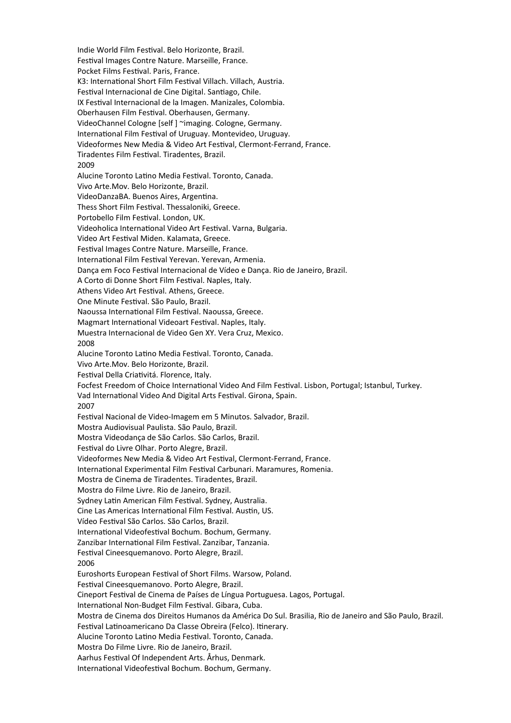Indie World Film Festival. Belo Horizonte, Brazil. Festival Images Contre Nature. Marseille, France. Pocket Films Festival. Paris, France. K3: International Short Film Festival Villach. Villach, Austria. Festival Internacional de Cine Digital. Santiago, Chile. IX Festival Internacional de la Imagen. Manizales, Colombia. Oberhausen Film Festival. Oberhausen, Germany. VideoChannel Cologne [self ] ~imaging. Cologne, Germany. International Film Festival of Uruguay. Montevideo, Uruguay. Videoformes New Media & Video Art Festival, Clermont-Ferrand, France. Tiradentes Film Festival. Tiradentes, Brazil. 2009 Alucine Toronto Latino Media Festival. Toronto, Canada. Vivo Arte.Mov. Belo Horizonte, Brazil. VideoDanzaBA. Buenos Aires, Argentina. Thess Short Film Festival. Thessaloniki, Greece. Portobello Film Festival. London, UK. Videoholica International Video Art Festival. Varna, Bulgaria. Video Art Festival Miden. Kalamata, Greece. Festival Images Contre Nature. Marseille, France. International Film Festival Yerevan. Yerevan, Armenia. Dança em Foco Festival Internacional de Vídeo e Dança. Rio de Janeiro, Brazil. A Corto di Donne Short Film Festival. Naples, Italy. Athens Video Art Festival. Athens, Greece. One Minute Festival. São Paulo, Brazil. Naoussa International Film Festival. Naoussa, Greece. Magmart International Videoart Festival. Naples, Italy. Muestra Internacional de Video Gen XY. Vera Cruz, Mexico. 2008 Alucine Toronto Latino Media Festival. Toronto, Canada. Vivo Arte.Mov. Belo Horizonte, Brazil. Festival Della Criativitá. Florence, Italy. Focfest Freedom of Choice International Video And Film Festival. Lisbon, Portugal; Istanbul, Turkey. Vad International Video And Digital Arts Festival. Girona, Spain. 2007 Festival Nacional de Video-Imagem em 5 Minutos. Salvador, Brazil. Mostra Audiovisual Paulista. São Paulo, Brazil. Mostra Videodança de São Carlos. São Carlos, Brazil. Festival do Livre Olhar. Porto Alegre, Brazil. Videoformes New Media & Video Art Festival, Clermont-Ferrand, France. International Experimental Film Festival Carbunari. Maramures, Romenia. Mostra de Cinema de Tiradentes. Tiradentes, Brazil. Mostra do Filme Livre. Rio de Janeiro, Brazil. Sydney Latin American Film Festival. Sydney, Australia. Cine Las Americas International Film Festival. Austin, US. Vídeo Festival São Carlos. São Carlos, Brazil. International Videofestival Bochum. Bochum, Germany. Zanzibar International Film Festival. Zanzibar, Tanzania. Festival Cineesquemanovo. Porto Alegre, Brazil. 2006 Euroshorts European Festival of Short Films. Warsow, Poland. Festival Cineesquemanovo. Porto Alegre, Brazil. Cineport Festival de Cinema de Países de Língua Portuguesa. Lagos, Portugal. International Non-Budget Film Festival. Gibara, Cuba. Mostra de Cinema dos Direitos Humanos da América Do Sul. Brasilia, Rio de Janeiro and São Paulo, Brazil. Festival Latinoamericano Da Classe Obreira (Felco). Itinerary. Alucine Toronto Latino Media Festival. Toronto, Canada. Mostra Do Filme Livre. Rio de Janeiro, Brazil. Aarhus Festival Of Independent Arts. Århus, Denmark. International Videofestival Bochum. Bochum, Germany.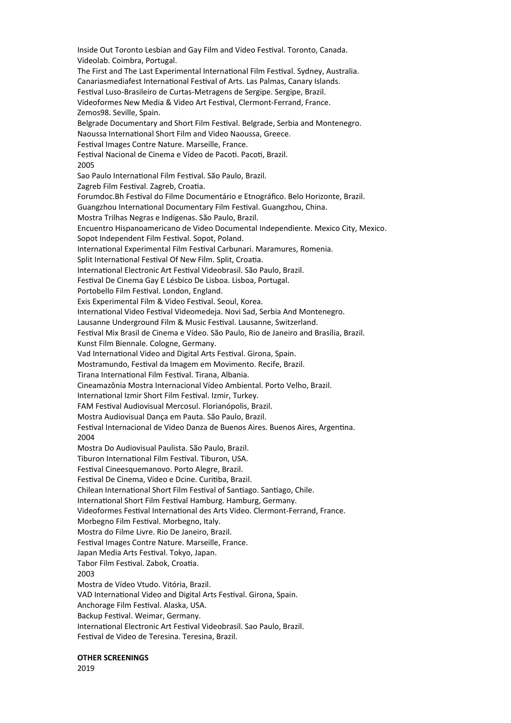Inside Out Toronto Lesbian and Gay Film and Video Festival. Toronto, Canada. Videolab. Coimbra, Portugal. The First and The Last Experimental International Film Festival. Sydney, Australia. Canariasmediafest International Festival of Arts. Las Palmas, Canary Islands. Festival Luso-Brasileiro de Curtas-Metragens de Sergipe. Sergipe, Brazil. Videoformes New Media & Video Art Festival, Clermont-Ferrand, France. Zemos98. Seville, Spain. Belgrade Documentary and Short Film Festival. Belgrade, Serbia and Montenegro. Naoussa International Short Film and Video Naoussa, Greece. Festival Images Contre Nature. Marseille, France. Festival Nacional de Cinema e Vídeo de Pacoti. Pacoti, Brazil. 2005 Sao Paulo International Film Festival. São Paulo, Brazil. Zagreb Film Festival. Zagreb, Croatia. Forumdoc.Bh Festival do Filme Documentário e Etnográfico. Belo Horizonte, Brazil. Guangzhou International Documentary Film Festival. Guangzhou, China. Mostra Trilhas Negras e Indígenas. São Paulo, Brazil. Encuentro Hispanoamericano de Video Documental Independiente. Mexico City, Mexico. Sopot Independent Film Festival. Sopot, Poland. International Experimental Film Festival Carbunari. Maramures, Romenia. Split International Festival Of New Film. Split, Croatia. International Electronic Art Festival Videobrasil. São Paulo, Brazil. Festival De Cinema Gay E Lésbico De Lisboa. Lisboa, Portugal. Portobello Film Festival. London, England. Exis Experimental Film & Video Festival. Seoul, Korea. International Video Festival Videomedeja. Novi Sad, Serbia And Montenegro. Lausanne Underground Film & Music Festival. Lausanne, Switzerland. Festival Mix Brasil de Cinema e Vídeo. São Paulo, Rio de Janeiro and Brasília, Brazil. Kunst Film Biennale. Cologne, Germany. Vad International Video and Digital Arts Festival. Girona, Spain. Mostramundo, Festival da Imagem em Movimento. Recife, Brazil. Tirana International Film Festival. Tirana, Albania. Cineamazônia Mostra Internacional Vídeo Ambiental. Porto Velho, Brazil. International Izmir Short Film Festival. Izmir, Turkey. FAM Festival Audiovisual Mercosul. Florianópolis, Brazil. Mostra Audiovisual Dança em Pauta. São Paulo, Brazil. Festival Internacional de Video Danza de Buenos Aires. Buenos Aires, Argentina. 2004 Mostra Do Audiovisual Paulista. São Paulo, Brazil. Tiburon International Film Festival. Tiburon, USA. Festival Cineesquemanovo. Porto Alegre, Brazil. Festival De Cinema, Vídeo e Dcine. Curitiba, Brazil. Chilean International Short Film Festival of Santiago. Santiago, Chile. International Short Film Festival Hamburg. Hamburg, Germany. Videoformes Festival International des Arts Video. Clermont-Ferrand, France. Morbegno Film Festival. Morbegno, Italy. Mostra do Filme Livre. Rio De Janeiro, Brazil. Festival Images Contre Nature. Marseille, France. Japan Media Arts Festival. Tokyo, Japan. Tabor Film Festival. Zabok, Croatia. 2003 Mostra de Vídeo Vtudo. Vitória, Brazil. VAD International Video and Digital Arts Festival. Girona, Spain. Anchorage Film Festival. Alaska, USA. Backup Festival. Weimar, Germany. International Electronic Art Festival Videobrasil. Sao Paulo, Brazil. Festival de Video de Teresina. Teresina, Brazil.

**OTHER SCREENINGS**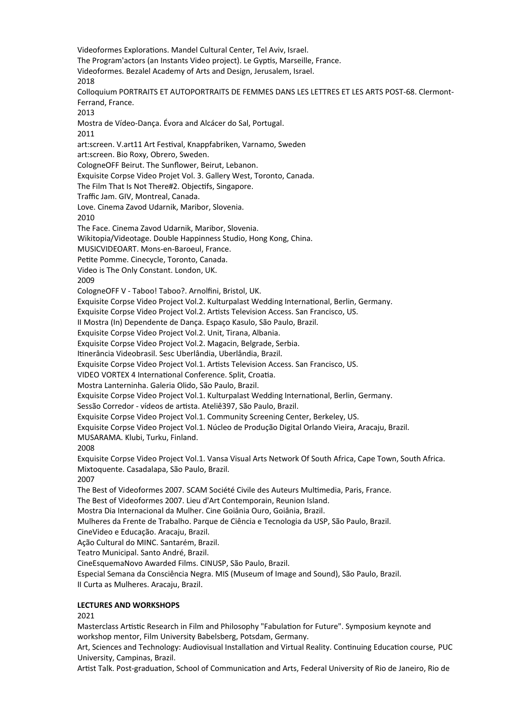Videoformes Explorations. Mandel Cultural Center, Tel Aviv, Israel. The Program'actors (an Instants Video project). Le Gyptis, Marseille, France. Videoformes. Bezalel Academy of Arts and Design, Jerusalem, Israel. 2018 Colloquium PORTRAITS ET AUTOPORTRAITS DE FEMMES DANS LES LETTRES ET LES ARTS POST-68. Clermont-Ferrand, France. 2013 Mostra de Vídeo-Dança. Évora and Alcácer do Sal, Portugal. 2011 art:screen. V.art11 Art Festival, Knappfabriken, Varnamo, Sweden art:screen. Bio Roxy, Obrero, Sweden. CologneOFF Beirut. The Sunflower, Beirut, Lebanon. Exquisite Corpse Video Projet Vol. 3. Gallery West, Toronto, Canada. The Film That Is Not There#2. Objectifs, Singapore. Traffic Jam. GIV, Montreal, Canada. Love. Cinema Zavod Udarnik, Maribor, Slovenia. 2010 The Face. Cinema Zavod Udarnik, Maribor, Slovenia. Wikitopia/Videotage. Double Happinness Studio, Hong Kong, China. MUSICVIDEOART. Mons-en-Baroeul, France. Petite Pomme. Cinecycle, Toronto, Canada. Video is The Only Constant. London, UK. 2009 CologneOFF V - Taboo! Taboo?. Arnolfini, Bristol, UK. Exquisite Corpse Video Project Vol.2. Kulturpalast Wedding International, Berlin, Germany. Exquisite Corpse Video Project Vol.2. Artists Television Access. San Francisco, US. II Mostra (In) Dependente de Dança. Espaço Kasulo, São Paulo, Brazil. Exquisite Corpse Video Project Vol.2. Unit, Tirana, Albania. Exquisite Corpse Video Project Vol.2. Magacin, Belgrade, Serbia. Itinerância Videobrasil. Sesc Uberlândia, Uberlândia, Brazil. Exquisite Corpse Video Project Vol.1. Artists Television Access. San Francisco, US. VIDEO VORTEX 4 International Conference. Split, Croatia. Mostra Lanterninha. Galeria Olido, São Paulo, Brazil. Exquisite Corpse Video Project Vol.1. Kulturpalast Wedding International, Berlin, Germany. Sessão Corredor - vídeos de artista. Ateliê397, São Paulo, Brazil. Exquisite Corpse Video Project Vol.1. Community Screening Center, Berkeley, US. Exquisite Corpse Video Project Vol.1. Núcleo de Produção Digital Orlando Vieira, Aracaju, Brazil. MUSARAMA. Klubi, Turku, Finland. 2008 Exquisite Corpse Video Project Vol.1. Vansa Visual Arts Network Of South Africa, Cape Town, South Africa. Mixtoquente. Casadalapa, São Paulo, Brazil. 2007 The Best of Videoformes 2007. SCAM Société Civile des Auteurs Multimedia, Paris, France. The Best of Videoformes 2007. Lieu d'Art Contemporain, Reunion Island. Mostra Dia Internacional da Mulher. Cine Goiânia Ouro, Goiânia, Brazil. Mulheres da Frente de Trabalho. Parque de Ciência e Tecnologia da USP, São Paulo, Brazil. CineVideo e Educação. Aracaju, Brazil. Ação Cultural do MINC. Santarém, Brazil. Teatro Municipal. Santo André, Brazil. CineEsquemaNovo Awarded Films. CINUSP, São Paulo, Brazil. Especial Semana da Consciência Negra. MIS (Museum of Image and Sound), São Paulo, Brazil. II Curta as Mulheres. Aracaju, Brazil. **LECTURES AND WORKSHOPS**

#### 2021

Masterclass Artistic Research in Film and Philosophy "Fabulation for Future". Symposium keynote and workshop mentor, Film University Babelsberg, Potsdam, Germany.

Art, Sciences and Technology: Audiovisual Installation and Virtual Reality. Continuing Education course, PUC University, Campinas, Brazil.

Artist Talk. Post-graduation, School of Communication and Arts, Federal University of Rio de Janeiro, Rio de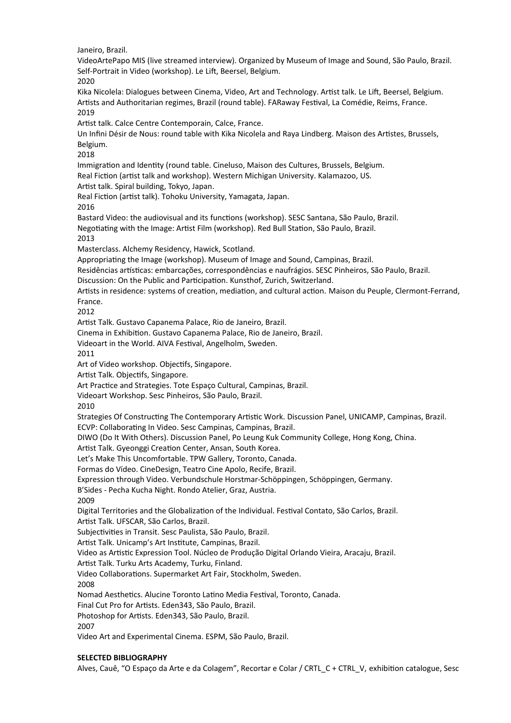Janeiro, Brazil.

VideoArtePapo MIS (live streamed interview). Organized by Museum of Image and Sound, São Paulo, Brazil. Self-Portrait in Video (workshop). Le Lift, Beersel, Belgium.

2020

Kika Nicolela: Dialogues between Cinema, Video, Art and Technology. Artist talk. Le Lift, Beersel, Belgium. Artists and Authoritarian regimes, Brazil (round table). FARaway Festival, La Comédie, Reims, France. 2019

Artist talk. Calce Centre Contemporain, Calce, France.

Un Infini Désir de Nous: round table with Kika Nicolela and Raya Lindberg. Maison des Artistes, Brussels, Belgium.

2018

Immigration and Identity (round table. Cineluso, Maison des Cultures, Brussels, Belgium. Real Fiction (artist talk and workshop). Western Michigan University. Kalamazoo, US.

Artist talk. Spiral building, Tokyo, Japan.

Real Fiction (artist talk). Tohoku University, Yamagata, Japan.

2016

Bastard Video: the audiovisual and its functions (workshop). SESC Santana, São Paulo, Brazil.

Negotiating with the Image: Artist Film (workshop). Red Bull Station, São Paulo, Brazil.

2013

Masterclass. Alchemy Residency, Hawick, Scotland.

Appropriating the Image (workshop). Museum of Image and Sound, Campinas, Brazil.

Residências artísticas: embarcações, correspondências e naufrágios. SESC Pinheiros, São Paulo, Brazil.

Discussion: On the Public and Participation. Kunsthof, Zurich, Switzerland.

Artists in residence: systems of creation, mediation, and cultural action. Maison du Peuple, Clermont-Ferrand, France.

2012

Artist Talk. Gustavo Capanema Palace, Rio de Janeiro, Brazil.

Cinema in Exhibition. Gustavo Capanema Palace, Rio de Janeiro, Brazil.

Videoart in the World. AIVA Festival, Angelholm, Sweden.

2011

Art of Video workshop. Objectifs, Singapore.

Artist Talk. Objectifs, Singapore.

Art Practice and Strategies. Tote Espaço Cultural, Campinas, Brazil.

Videoart Workshop. Sesc Pinheiros, São Paulo, Brazil.

2010

Strategies Of Constructing The Contemporary Artistic Work. Discussion Panel, UNICAMP, Campinas, Brazil. ECVP: Collaborating In Video. Sesc Campinas, Campinas, Brazil.

DIWO (Do It With Others). Discussion Panel, Po Leung Kuk Community College, Hong Kong, China.

Artist Talk. Gyeonggi Creation Center, Ansan, South Korea.

Let's Make This Uncomfortable. TPW Gallery, Toronto, Canada.

Formas do Vídeo. CineDesign, Teatro Cine Apolo, Recife, Brazil.

Expression through Video. Verbundschule Horstmar-Schöppingen, Schöppingen, Germany.

B'Sides - Pecha Kucha Night. Rondo Atelier, Graz, Austria.

2009

Digital Territories and the Globalization of the Individual. Festival Contato, São Carlos, Brazil. Artist Talk. UFSCAR, São Carlos, Brazil.

Subjectivities in Transit. Sesc Paulista, São Paulo, Brazil.

Artist Talk. Unicamp's Art Institute, Campinas, Brazil.

Video as Artistic Expression Tool. Núcleo de Produção Digital Orlando Vieira, Aracaju, Brazil.

Artist Talk. Turku Arts Academy, Turku, Finland.

Video Collaborations. Supermarket Art Fair, Stockholm, Sweden.

2008

Nomad Aesthetics. Alucine Toronto Latino Media Festival, Toronto, Canada.

Final Cut Pro for Artists. Eden343, São Paulo, Brazil.

Photoshop for Artists. Eden343, São Paulo, Brazil.

2007

Video Art and Experimental Cinema. ESPM, São Paulo, Brazil.

### **SELECTED BIBLIOGRAPHY**

Alves, Cauê, "O Espaço da Arte e da Colagem", Recortar e Colar / CRTL\_C + CTRL\_V, exhibition catalogue, Sesc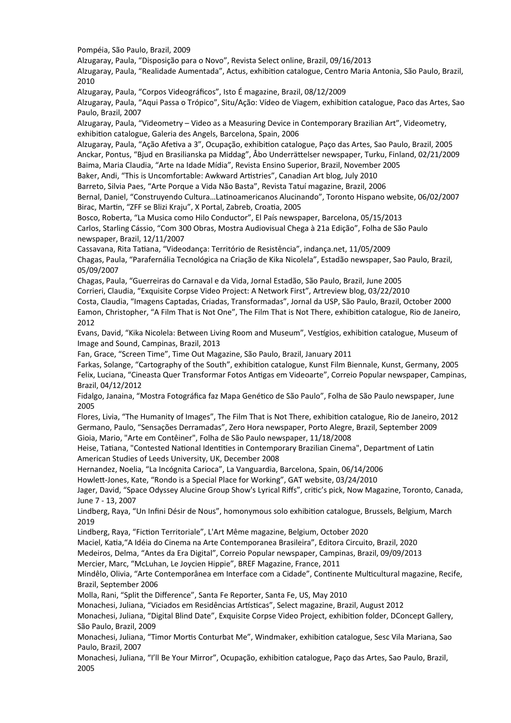Pompéia, São Paulo, Brazil, 2009

Alzugaray, Paula, "Disposição para o Novo", Revista Select online, Brazil, 09/16/2013

Alzugaray, Paula, "Realidade Aumentada", Actus, exhibition catalogue, Centro Maria Antonia, São Paulo, Brazil, 2010

Alzugaray, Paula, "Corpos Videográficos", Isto É magazine, Brazil, 08/12/2009

Alzugaray, Paula, "Aqui Passa o Trópico", Situ/Ação: Vídeo de Viagem, exhibition catalogue, Paco das Artes, Sao Paulo, Brazil, 2007

Alzugaray, Paula, "Videometry – Video as a Measuring Device in Contemporary Brazilian Art", Videometry, exhibition catalogue, Galeria des Angels, Barcelona, Spain, 2006

Alzugaray, Paula, "Ação Afetiva a 3", Ocupação, exhibition catalogue, Paço das Artes, Sao Paulo, Brazil, 2005 Anckar, Pontus, "Bjud en Brasilianska pa Middag", Åbo Underrättelser newspaper, Turku, Finland, 02/21/2009 Baima, Maria Claudia, "Arte na Idade Mídia", Revista Ensino Superior, Brazil, November 2005 Baker, Andi, "This is Uncomfortable: Awkward Artistries", Canadian Art blog, July 2010

Barreto, Silvia Paes, "Arte Porque a Vida Não Basta", Revista Tatuí magazine, Brazil, 2006

Bernal, Daniel, "Construyendo Cultura…Latinoamericanos Alucinando", Toronto Hispano website, 06/02/2007 Birac, Martin, "ZFF se Blizi Kraju", X Portal, Zabreb, Croatia, 2005

Bosco, Roberta, "La Musica como Hilo Conductor", El País newspaper, Barcelona, 05/15/2013 Carlos, Starling Cássio, "Com 300 Obras, Mostra Audiovisual Chega à 21a Edição", Folha de São Paulo newspaper, Brazil, 12/11/2007

Cassavana, Rita Tatiana, "Videodança: Território de Resistência", indança.net, 11/05/2009 Chagas, Paula, "Parafernália Tecnológica na Criação de Kika Nicolela", Estadão newspaper, Sao Paulo, Brazil, 05/09/2007

Chagas, Paula, "Guerreiras do Carnaval e da Vida, Jornal Estadão, São Paulo, Brazil, June 2005 Corrieri, Claudia, "Exquisite Corpse Video Project: A Network First", Artreview blog, 03/22/2010 Costa, Claudia, "Imagens Captadas, Criadas, Transformadas", Jornal da USP, São Paulo, Brazil, October 2000 Eamon, Christopher, "A Film That is Not One", The Film That is Not There, exhibition catalogue, Rio de Janeiro, 2012

Evans, David, "Kika Nicolela: Between Living Room and Museum", Vestígios, exhibition catalogue, Museum of Image and Sound, Campinas, Brazil, 2013

Fan, Grace, "Screen Time", Time Out Magazine, São Paulo, Brazil, January 2011

Farkas, Solange, "Cartography of the South", exhibition catalogue, Kunst Film Biennale, Kunst, Germany, 2005 Felix, Luciana, "Cineasta Quer Transformar Fotos Antigas em Videoarte", Correio Popular newspaper, Campinas, Brazil, 04/12/2012

Fidalgo, Janaina, "Mostra Fotográfica faz Mapa Genético de São Paulo", Folha de São Paulo newspaper, June 2005

Flores, Livia, "The Humanity of Images", The Film That is Not There, exhibition catalogue, Rio de Janeiro, 2012 Germano, Paulo, "Sensações Derramadas", Zero Hora newspaper, Porto Alegre, Brazil, September 2009 Gioia, Mario, "Arte em Contêiner", Folha de São Paulo newspaper, 11/18/2008

Heise, Tatiana, "Contested National Identities in Contemporary Brazilian Cinema", Department of Latin American Studies of Leeds University, UK, December 2008

Hernandez, Noelia, "La Incógnita Carioca", La Vanguardia, Barcelona, Spain, 06/14/2006

Howlett-Jones, Kate, "Rondo is a Special Place for Working", GAT website, 03/24/2010

Jager, David, "Space Odyssey Alucine Group Show's Lyrical Riffs", critic's pick, Now Magazine, Toronto, Canada, June 7 - 13, 2007

Lindberg, Raya, "Un Infini Désir de Nous", homonymous solo exhibition catalogue, Brussels, Belgium, March 2019

Lindberg, Raya, "Fiction Territoriale", L'Art Même magazine, Belgium, October 2020

Maciel, Katia,"A Idéia do Cinema na Arte Contemporanea Brasileira", Editora Circuito, Brazil, 2020

Medeiros, Delma, "Antes da Era Digital", Correio Popular newspaper, Campinas, Brazil, 09/09/2013

Mercier, Marc, "McLuhan, Le Joycien Hippie", BREF Magazine, France, 2011

Mindêlo, Olivia, "Arte Contemporânea em Interface com a Cidade", Continente Multicultural magazine, Recife, Brazil, September 2006

Molla, Rani, "Split the Difference", Santa Fe Reporter, Santa Fe, US, May 2010

Monachesi, Juliana, "Viciados em Residências Artísticas", Select magazine, Brazil, August 2012

Monachesi, Juliana, "Digital Blind Date", Exquisite Corpse Video Project, exhibition folder, DConcept Gallery, São Paulo, Brazil, 2009

Monachesi, Juliana, "Timor Mortis Conturbat Me", Windmaker, exhibition catalogue, Sesc Vila Mariana, Sao Paulo, Brazil, 2007

Monachesi, Juliana, "I'll Be Your Mirror", Ocupação, exhibition catalogue, Paço das Artes, Sao Paulo, Brazil, 2005